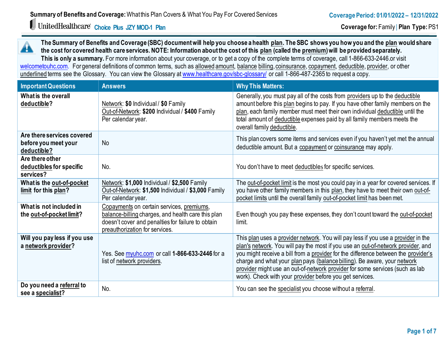# **Choice Plus JZY MOD-1 Plan**

**The Summary of Benefits and Coverage (SBC) document will help you choose a health plan. The SBC shows you how you and the plan would share**  A **the cost for covered health care services. NOTE: Information about the cost of this plan (called the premium) will be provided separately.**

**This is only a summary.** For more information about your coverage, or to get a copy of the complete terms of coverage, call 1-866-633-2446.or visit [welcometouhc.com.](http://www.welcometouhc.com/) For general definitions of common terms, such as allowed amount, balance billing, coinsurance, copayment, deductible, provider, or other underlined terms see the Glossary. You can view the Glossary a[t www.healthcare.gov/sbc-glossary/](https://www.healthcare.gov/sbc-glossary/) or call 1-866-487-2365 to request a copy.

| <b>Important Questions</b>                                        | <b>Answers</b>                                                                                                                                                                         | <b>Why This Matters:</b>                                                                                                                                                                                                                                                                                                                                                                                                                                                            |
|-------------------------------------------------------------------|----------------------------------------------------------------------------------------------------------------------------------------------------------------------------------------|-------------------------------------------------------------------------------------------------------------------------------------------------------------------------------------------------------------------------------------------------------------------------------------------------------------------------------------------------------------------------------------------------------------------------------------------------------------------------------------|
| What is the overall<br>deductible?                                | Network: \$0 Individual / \$0 Family<br>Out-of-Network: \$200 Individual / \$400 Family<br>Per calendar year.                                                                          | Generally, you must pay all of the costs from providers up to the deductible<br>amount before this plan begins to pay. If you have other family members on the<br>plan, each family member must meet their own individual deductible until the<br>total amount of deductible expenses paid by all family members meets the<br>overall family deductible.                                                                                                                            |
| Are there services covered<br>before you meet your<br>deductible? | <b>No</b>                                                                                                                                                                              | This plan covers some items and services even if you haven't yet met the annual<br>deductible amount. But a copayment or coinsurance may apply.                                                                                                                                                                                                                                                                                                                                     |
| Are there other<br>deductibles for specific<br>services?          | No.                                                                                                                                                                                    | You don't have to meet deductibles for specific services.                                                                                                                                                                                                                                                                                                                                                                                                                           |
| What is the out-of-pocket<br>limit for this plan?                 | Network: \$1,000 Individual / \$2,500 Family<br>Out-of-Network: \$1,500 Individual / \$3,000 Family<br>Per calendar year.                                                              | The out-of-pocket limit is the most you could pay in a year for covered services. If<br>you have other family members in this plan, they have to meet their own out-of-<br>pocket limits until the overall family out-of-pocket limit has been met.                                                                                                                                                                                                                                 |
| What is not included in<br>the out-of-pocket limit?               | Copayments on certain services, premiums,<br>balance-billing charges, and health care this plan<br>doesn't cover and penalties for failure to obtain<br>preauthorization for services. | Even though you pay these expenses, they don't count toward the out-of-pocket<br>limit.                                                                                                                                                                                                                                                                                                                                                                                             |
| Will you pay less if you use<br>a network provider?               | Yes. See myuhc.com or call 1-866-633-2446 for a<br>list of network providers.                                                                                                          | This plan uses a provider network. You will pay less if you use a provider in the<br>plan's network. You will pay the most if you use an out-of-network provider, and<br>you might receive a bill from a provider for the difference between the provider's<br>charge and what your plan pays (balance billing). Be aware, your network<br>provider might use an out-of-network provider for some services (such as lab<br>work). Check with your provider before you get services. |
| Do you need a referral to<br>see a specialist?                    | No.                                                                                                                                                                                    | You can see the specialist you choose without a referral.                                                                                                                                                                                                                                                                                                                                                                                                                           |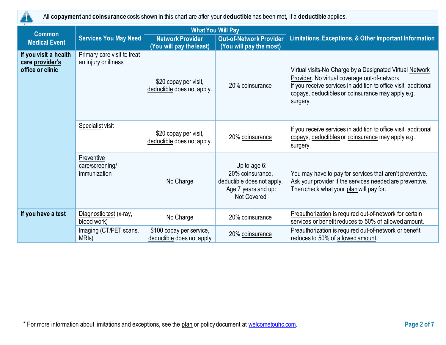

All **copayment** and **coinsurance** costs shown in this chart are after your **deductible** has been met, if a **deductible** applies.

| <b>Common</b>                                                |                                                     | <b>What You Will Pay</b>                              |                                                                                                                |                                                                                                                                                                                                                                              |  |
|--------------------------------------------------------------|-----------------------------------------------------|-------------------------------------------------------|----------------------------------------------------------------------------------------------------------------|----------------------------------------------------------------------------------------------------------------------------------------------------------------------------------------------------------------------------------------------|--|
| <b>Medical Event</b>                                         | <b>Services You May Need</b>                        | <b>Network Provider</b><br>(You will pay the least)   | <b>Out-of-Network Provider</b><br>(You will pay the most)                                                      | <b>Limitations, Exceptions, &amp; Other Important Information</b>                                                                                                                                                                            |  |
| If you visit a health<br>care provider's<br>office or clinic | Primary care visit to treat<br>an injury or illness | \$20 copay per visit,<br>deductible does not apply.   | 20% coinsurance                                                                                                | Virtual visits-No Charge by a Designated Virtual Network<br>Provider. No virtual coverage out-of-network<br>If you receive services in addition to office visit, additional<br>copays, deductibles or coinsurance may apply e.g.<br>surgery. |  |
|                                                              | <b>Specialist visit</b>                             | \$20 copay per visit,<br>deductible does not apply.   | 20% coinsurance                                                                                                | If you receive services in addition to office visit, additional<br>copays, deductibles or coinsurance may apply e.g.<br>surgery.                                                                                                             |  |
|                                                              | Preventive<br>care/screening/<br>immunization       | No Charge                                             | Up to age $6$ :<br>20% coinsurance,<br>deductible does not apply.<br>Age 7 years and up:<br><b>Not Covered</b> | You may have to pay for services that aren't preventive.<br>Ask your provider if the services needed are preventive.<br>Then check what your plan will pay for.                                                                              |  |
| If you have a test                                           | Diagnostic test (x-ray,<br>blood work)              | No Charge                                             | 20% coinsurance                                                                                                | Preauthorization is required out-of-network for certain<br>services or benefit reduces to 50% of allowed amount.                                                                                                                             |  |
|                                                              | Imaging (CT/PET scans,<br>MRI <sub>s</sub> )        | \$100 copay per service,<br>deductible does not apply | 20% coinsurance                                                                                                | Preauthorization is required out-of-network or benefit<br>reduces to 50% of allowed amount.                                                                                                                                                  |  |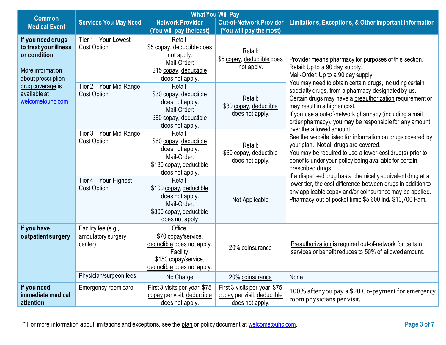| <b>Common</b>                                                                                        |                                                      | <b>What You Will Pay</b>                                                                                                        |                                                                                 |                                                                                                                                                                                                                                                                                                                               |  |
|------------------------------------------------------------------------------------------------------|------------------------------------------------------|---------------------------------------------------------------------------------------------------------------------------------|---------------------------------------------------------------------------------|-------------------------------------------------------------------------------------------------------------------------------------------------------------------------------------------------------------------------------------------------------------------------------------------------------------------------------|--|
| <b>Medical Event</b>                                                                                 | <b>Services You May Need</b>                         | <b>Network Provider</b>                                                                                                         | <b>Out-of-Network Provider</b>                                                  | <b>Limitations, Exceptions, &amp; Other Important Information</b>                                                                                                                                                                                                                                                             |  |
|                                                                                                      |                                                      | (You will pay the least)                                                                                                        | (You will pay the most)                                                         |                                                                                                                                                                                                                                                                                                                               |  |
| If you need drugs<br>to treat your illness<br>or condition<br>More information<br>about prescription | Tier 1 – Your Lowest<br>Cost Option                  | Retail:<br>\$5 copay, deductible does<br>not apply.<br>Mail-Order:<br>\$15 copay, deductible<br>does not apply.                 | Retail:<br>\$5 copay, deductible does<br>not apply.                             | Provider means pharmacy for purposes of this section.<br>Retail: Up to a 90 day supply.<br>Mail-Order: Up to a 90 day supply.                                                                                                                                                                                                 |  |
| drug coverage is<br>available at<br>welcometouhc.com                                                 | Tier 2 - Your Mid-Range<br>Cost Option               | Retail:<br>\$30 copay, deductible<br>does not apply.<br>Mail-Order:<br>\$90 copay, deductible<br>does not apply.                | Retail:<br>\$30 copay, deductible<br>does not apply.                            | You may need to obtain certain drugs, including certain<br>specialty drugs, from a pharmacy designated by us.<br>Certain drugs may have a preauthorization requirement or<br>may result in a higher cost.<br>If you use a out-of-network pharmacy (including a mail<br>order pharmacy), you may be responsible for any amount |  |
|                                                                                                      | Tier 3 - Your Mid-Range<br>Cost Option               | Retail:<br>\$60 copay, deductible<br>does not apply.<br>Mail-Order:<br>\$180 copay, deductible<br>does not apply.               | Retail:<br>\$60 copay, deductible<br>does not apply.                            | over the allowed amount.<br>See the website listed for information on drugs covered by<br>your plan. Not all drugs are covered.<br>You may be required to use a lower-cost drug(s) prior to<br>benefits under your policy being available for certain<br>prescribed drugs.                                                    |  |
|                                                                                                      | Tier 4 - Your Highest<br>Cost Option                 | Retail:<br>\$100 copay, deductible<br>does not apply.<br>Mail-Order:<br>\$300 copay, deductible<br>does not apply               | Not Applicable                                                                  | If a dispensed drug has a chemically equivalent drug at a<br>lower tier, the cost difference between drugs in addition to<br>any applicable copay and/or coinsurance may be applied.<br>Pharmacy out-of-pocket limit: \$5,600 lnd/ \$10,700 Fam.                                                                              |  |
| If you have<br>outpatient surgery                                                                    | Facility fee (e.g.,<br>ambulatory surgery<br>center) | Office:<br>\$70 copay/service,<br>deductible does not apply.<br>Facility:<br>\$150 copay/service,<br>deductible does not apply. | 20% coinsurance                                                                 | Preauthorization is required out-of-network for certain<br>services or benefit reduces to 50% of allowed amount.                                                                                                                                                                                                              |  |
|                                                                                                      | Physician/surgeon fees                               | No Charge                                                                                                                       | 20% coinsurance                                                                 | None                                                                                                                                                                                                                                                                                                                          |  |
| If you need<br>immediate medical<br>attention                                                        | <b>Emergency room care</b>                           | First 3 visits per year: \$75<br>copay per visit, deductible<br>does not apply.                                                 | First 3 visits per year: \$75<br>copay per visit, deductible<br>does not apply. | 100% after you pay a \$20 Co-payment for emergency<br>room physicians per visit.                                                                                                                                                                                                                                              |  |

\* For more information about limitations and exceptions, see the plan or policy document at [welcometouhc.com.](http://www.welcometouhc.com/) **Page 3 of 7**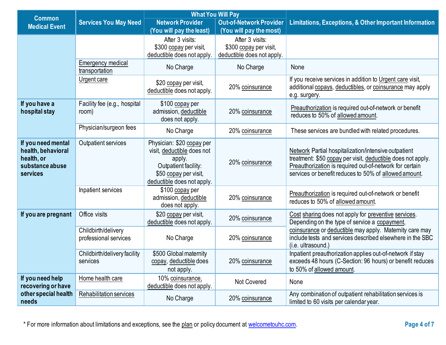|                                                                                       |                                              | <b>What You Will Pay</b>                                                                                                                         |                                |                                                                                                                                                                                                                                         |  |
|---------------------------------------------------------------------------------------|----------------------------------------------|--------------------------------------------------------------------------------------------------------------------------------------------------|--------------------------------|-----------------------------------------------------------------------------------------------------------------------------------------------------------------------------------------------------------------------------------------|--|
| <b>Common</b>                                                                         | <b>Services You May Need</b>                 | <b>Network Provider</b>                                                                                                                          | <b>Out-of-Network Provider</b> | <b>Limitations, Exceptions, &amp; Other Important Information</b>                                                                                                                                                                       |  |
| <b>Medical Event</b>                                                                  |                                              | (You will pay the least)                                                                                                                         | (You will pay the most)        |                                                                                                                                                                                                                                         |  |
|                                                                                       |                                              | After 3 visits:                                                                                                                                  | After 3 visits:                |                                                                                                                                                                                                                                         |  |
|                                                                                       |                                              | \$300 copay per visit,                                                                                                                           | \$300 copay per visit,         |                                                                                                                                                                                                                                         |  |
|                                                                                       |                                              | deductible does not apply.                                                                                                                       | deductible does not apply.     |                                                                                                                                                                                                                                         |  |
|                                                                                       | Emergency medical<br>transportation          | No Charge                                                                                                                                        | No Charge                      | None                                                                                                                                                                                                                                    |  |
|                                                                                       | Urgent care                                  | \$20 copay per visit,<br>deductible does not apply.                                                                                              | 20% coinsurance                | If you receive services in addition to Urgent care visit,<br>additional copays, deductibles, or coinsurance may apply<br>e.g. surgery.                                                                                                  |  |
| If you have a<br>hospital stay                                                        | Facility fee (e.g., hospital<br>room)        | \$100 copay per<br>admission, deductible<br>does not apply.                                                                                      | 20% coinsurance                | Preauthorization is required out-of-network or benefit<br>reduces to 50% of allowed amount.                                                                                                                                             |  |
|                                                                                       | Physician/surgeon fees                       | No Charge                                                                                                                                        | 20% coinsurance                | These services are bundled with related procedures.                                                                                                                                                                                     |  |
| If you need mental<br>health, behavioral<br>health, or<br>substance abuse<br>services | Outpatient services                          | Physician: \$20 copay per<br>visit, deductible does not<br>apply.<br>Outpatient facility:<br>\$50 copay per visit,<br>deductible does not apply. | 20% coinsurance                | Network Partial hospitalization/intensive outpatient<br>treatment: \$50 copay per visit, deductible does not apply.<br>Preauthorization is required out-of-network for certain<br>services or benefit reduces to 50% of allowed amount. |  |
|                                                                                       | Inpatient services                           | \$100 copay per<br>admission, deductible<br>does not apply.                                                                                      | 20% coinsurance                | Preauthorization is required out-of-network or benefit<br>reduces to 50% of allowed amount.                                                                                                                                             |  |
| If you are pregnant                                                                   | Office visits                                | \$20 copay per visit,<br>deductible does not apply.                                                                                              | 20% coinsurance                | Cost sharing does not apply for preventive services.<br>Depending on the type of service a copayment,                                                                                                                                   |  |
|                                                                                       | Childbirth/delivery<br>professional services | No Charge                                                                                                                                        | 20% coinsurance                | coinsurance or deductible may apply. Maternity care may<br>include tests and services described elsewhere in the SBC<br>(i.e. ultrasound.)                                                                                              |  |
|                                                                                       | Childbirth/delivery facility<br>services     | \$500 Global maternity<br>copay, deductible does<br>not apply.                                                                                   | 20% coinsurance                | Inpatient preauthorization applies out-of-network if stay<br>exceeds 48 hours (C-Section: 96 hours) or benefit reduces<br>to 50% of allowed amount.                                                                                     |  |
| If you need help<br>recovering or have                                                | Home health care                             | 10% coinsurance,<br>deductible does not apply.                                                                                                   | Not Covered                    | None                                                                                                                                                                                                                                    |  |
| other special health<br>needs                                                         | Rehabilitation services                      | No Charge                                                                                                                                        | 20% coinsurance                | Any combination of outpatient rehabilitation services is<br>limited to 60 visits per calendar year.                                                                                                                                     |  |

\* For more information about limitations and exceptions, see the plan or policy document at [welcometouhc.com.](http://www.welcometouhc.com/) **Page 4 of 7**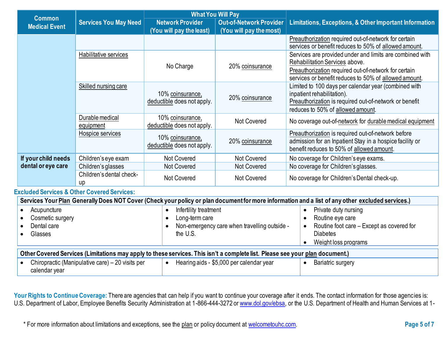| <b>Common</b>                                                                                                                     |                                | <b>What You Will Pay</b>                       |                                |                                                                                                                                                                                   |  |  |
|-----------------------------------------------------------------------------------------------------------------------------------|--------------------------------|------------------------------------------------|--------------------------------|-----------------------------------------------------------------------------------------------------------------------------------------------------------------------------------|--|--|
| <b>Medical Event</b>                                                                                                              | <b>Services You May Need</b>   | <b>Network Provider</b>                        | <b>Out-of-Network Provider</b> | Limitations, Exceptions, & Other Important Information                                                                                                                            |  |  |
|                                                                                                                                   |                                | (You will pay the least)                       | (You will pay the most)        |                                                                                                                                                                                   |  |  |
|                                                                                                                                   |                                |                                                |                                | Preauthorization required out-of-network for certain<br>services or benefit reduces to 50% of allowed amount.                                                                     |  |  |
|                                                                                                                                   | Habilitative services          |                                                |                                | Services are provided under and limits are combined with<br>Rehabilitation Services above.                                                                                        |  |  |
|                                                                                                                                   |                                | No Charge<br>20% coinsurance                   |                                | Preauthorization required out-of-network for certain<br>services or benefit reduces to 50% of allowed amount.                                                                     |  |  |
|                                                                                                                                   | <b>Skilled nursing care</b>    | 10% coinsurance,<br>deductible does not apply. | 20% coinsurance                | Limited to 100 days per calendar year (combined with<br>inpatient rehabilitation).<br>Preauthorization is required out-of-network or benefit<br>reduces to 50% of allowed amount. |  |  |
|                                                                                                                                   | Durable medical<br>equipment   | 10% coinsurance,<br>deductible does not apply. | <b>Not Covered</b>             | No coverage out-of-network for durable medical equipment                                                                                                                          |  |  |
|                                                                                                                                   | Hospice services               | 10% coinsurance,<br>deductible does not apply. | 20% coinsurance                | Preauthorization is required out-of-network before<br>admission for an Inpatient Stay in a hospice facility or<br>benefit reduces to 50% of allowed amount.                       |  |  |
| If your child needs                                                                                                               | Children's eye exam            | Not Covered                                    | <b>Not Covered</b>             | No coverage for Children's eye exams.                                                                                                                                             |  |  |
| dental or eye care                                                                                                                | Children's glasses             | Not Covered                                    | <b>Not Covered</b>             | No coverage for Children's glasses.                                                                                                                                               |  |  |
|                                                                                                                                   | Children's dental check-<br>up | Not Covered                                    | Not Covered                    | No coverage for Children's Dental check-up.                                                                                                                                       |  |  |
| . The distribution of $\bullet$ $\bullet$ $\bullet$ $\bullet$ $\bullet$ . Also as $\bullet$ is consistent to the set of $\bullet$ |                                |                                                |                                |                                                                                                                                                                                   |  |  |

## **Excluded Services & Other Covered Services:**

| Services Your Plan Generally Does NOT Cover (Check your policy or plan document for more information and a list of any other excluded services.) |                                              |                                           |  |  |  |
|--------------------------------------------------------------------------------------------------------------------------------------------------|----------------------------------------------|-------------------------------------------|--|--|--|
| Acupuncture                                                                                                                                      | Infertility treatment                        | Private duty nursing                      |  |  |  |
| Cosmetic surgery                                                                                                                                 | Long-term care                               | Routine eye care                          |  |  |  |
| Dental care                                                                                                                                      | Non-emergency care when travelling outside - | Routine foot care - Except as covered for |  |  |  |
| Glasses                                                                                                                                          | the U.S.                                     | <b>Diabetes</b>                           |  |  |  |
|                                                                                                                                                  |                                              | Weight loss programs                      |  |  |  |
| Other Covered Services (Limitations may apply to these services. This isn't a complete list. Please see your plan document.)                     |                                              |                                           |  |  |  |
| Chiropractic (Manipulative care) - 20 visits per<br>calendar year                                                                                | Hearing aids - \$5,000 per calendar year     | <b>Bariatric surgery</b>                  |  |  |  |

Your Rights to Continue Coverage: There are agencies that can help if you want to continue your coverage after it ends. The contact information for those agencies is: U.S. Department of Labor, Employee Benefits Security Administration at 1-866-444-3272 or [www.dol.gov/ebsa,](http://www.dol.gov/ebsa) or the U.S. Department of Health and Human Services at 1-

\* For more information about limitations and exceptions, see the plan or policy document at [welcometouhc.com.](http://www.welcometouhc.com/) **Page 5 of 7**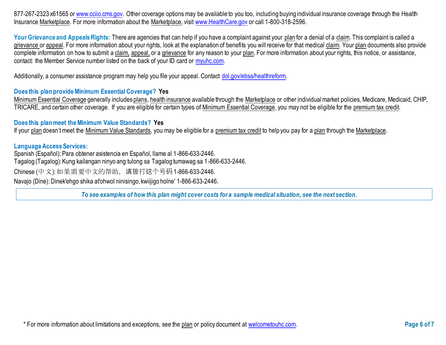877-267-2323 x61565 or [www.cciio.cms.gov.](http://www.cciio.cms.gov/) Other coverage options may be available to you too, including buying individual insurance coverage through the Health Insurance Marketplace. For more information about the Marketplace, visit [www.HealthCare.gov](http://www.healthcare.gov/) or call 1-800-318-2596.

Your Grievance and Appeals Rights: There are agencies that can help if you have a complaint against your plan for a denial of a claim. This complaint is called a grievance or appeal. For more information about your rights, look at the explanation of benefits you will receive for that medical claim. Your plan documents also provide complete information on how to submit a claim, appeal, or a grievance for any reason to your plan. For more information about your rights, this notice, or assistance, contact: the Member Service number listed on the back of your ID card or [myuhc.com.](http://www.myuhc.com/) 

Additionally, a consumer assistance program may help you file your appeal. Contact [dol.gov/ebsa/healthreform.](https://www.dol.gov/ebsa/healthreform)

## **Does this plan provide Minimum Essential Coverage? Yes**

Minimum Essential Coverage generally includes plans, health insurance available through the Marketplace or other individual market policies, Medicare, Medicaid, CHIP, TRICARE, and certain other coverage. If you are eligible for certain types of Minimum Essential Coverage, you may not be eligible for the premium tax credit.

## **Does this plan meet the Minimum Value Standards? Yes**

If your plan doesn't meet the Minimum Value Standards, you may be eligible for a premium tax credit to help you pay for a plan through the Marketplace.

#### **Language Access Services:**

Spanish (Español): Para obtener asistencia en Español, llame al 1-866-633-2446. Tagalog (Tagalog): Kung kailangan ninyo ang tulong sa Tagalog tumawag sa 1-866-633-2446. Chinese (中文): 如果需要中文的帮助,请拨打这个号码1-866-633-2446.

Navajo (Dine): Dinek'ehgo shika at'ohwol ninisingo, kwiijigo holne' 1-866-633-2446.

*To see examples of how this plan might cover costs for a sample medical situation, see the next section.*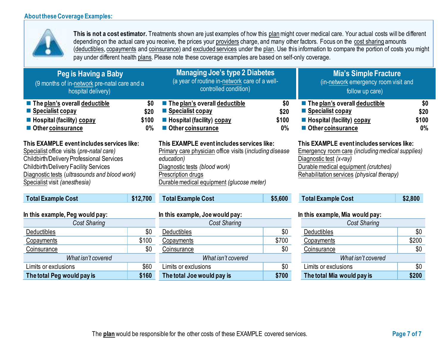Deductibles \$0 Copayments **\$100** Coinsurance \$0 *What isn't covered* Limits or exclusions  $$60$ **The total Peg would pay is \$160**



**This is not a cost estimator.** Treatments shown are just examples of how this planmight cover medical care. Your actual costs will be different depending on the actual care you receive, the prices your providers charge, and many other factors. Focus on the cost sharing amounts (deductibles, copayments and coinsurance) and excluded services under the plan. Use this information to compare the portion of costs you might pay under different health plans. Please note these coverage examples are based on self-only coverage.

| Peg is Having a Baby<br>(9 months of in-network pre-natal care and a<br>hospital delivery)                                                                                                                                                                             |                               | <b>Managing Joe's type 2 Diabetes</b><br>(a year of routine in-network care of a well-<br>controlled condition)                                                                                                         |                               | <b>Mia's Simple Fracture</b><br>(in-network emergency room visit and<br>follow up care)                                                                                                                               |                               |
|------------------------------------------------------------------------------------------------------------------------------------------------------------------------------------------------------------------------------------------------------------------------|-------------------------------|-------------------------------------------------------------------------------------------------------------------------------------------------------------------------------------------------------------------------|-------------------------------|-----------------------------------------------------------------------------------------------------------------------------------------------------------------------------------------------------------------------|-------------------------------|
| The plan's overall deductible<br>■ Specialist copay<br>Hospital (facility) copay<br>Other coinsurance                                                                                                                                                                  | \$0<br>\$20<br>\$100<br>$0\%$ | The plan's overall deductible<br>■ Specialist copay<br>Hospital (facility) copay<br>Other coinsurance                                                                                                                   | \$0<br>\$20<br>\$100<br>$0\%$ | The plan's overall deductible<br>Specialist copay<br>■ Hospital (facility) copay<br>Other coinsurance                                                                                                                 | \$0<br>\$20<br>\$100<br>$0\%$ |
| This EXAMPLE event includes services like:<br>Specialist office visits (pre-natal care)<br>Childbirth/Delivery Professional Services<br><b>Childbirth/Delivery Facility Services</b><br>Diagnostic tests (ultrasounds and blood work)<br>Specialist visit (anesthesia) |                               | This EXAMPLE event includes services like:<br>Primary care physician office visits (including disease<br>education)<br>Diagnostic tests (blood work)<br>Prescription drugs<br>Durable medical equipment (glucose meter) |                               | This EXAMPLE eventincludes services like:<br><b>Emergency room care (including medical supplies)</b><br>Diagnostic test (x-ray)<br>Durable medical equipment (crutches)<br>Rehabilitation services (physical therapy) |                               |
| <b>Total Example Cost</b>                                                                                                                                                                                                                                              | \$12,700                      | <b>Total Example Cost</b>                                                                                                                                                                                               | \$5,600                       | <b>Total Example Cost</b>                                                                                                                                                                                             | \$2,800                       |
| In this example, Peg would pay:                                                                                                                                                                                                                                        |                               | In this example, Joe would pay:                                                                                                                                                                                         |                               | In this example, Mia would pay:                                                                                                                                                                                       |                               |
| <b>Cost Sharing</b>                                                                                                                                                                                                                                                    |                               | <b>Cost Sharing</b>                                                                                                                                                                                                     |                               | <b>Cost Sharing</b>                                                                                                                                                                                                   |                               |

*What isn't covered*

|       | <b>Cost Sharing</b>        |       |
|-------|----------------------------|-------|
| \$0   | <b>Deductibles</b>         | \$0   |
| \$700 | Copayments                 | \$200 |
| \$0   | Coinsurance                | \$0   |
|       | What isn't covered         |       |
| \$0   | Limits or exclusions       | \$0   |
| \$700 | The total Mia would pay is | \$200 |
|       |                            |       |

**Deductibles** Copayments Coinsurance

Limits or exclusions

**The total Joe would pay is**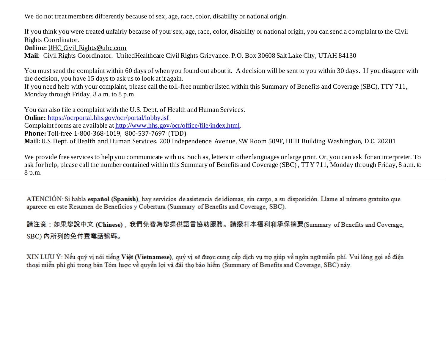We do not treat members differently because of sex, age, race, color, disability or national origin.

If you think you were treated unfairly because of your sex, age, race, color, disability or national origin, you can send a complaint to the Civil Rights Coordinator.

**Online: UHC Civil Rights@uhc.com** 

**Mail**: Civil Rights Coordinator. UnitedHealthcare Civil Rights Grievance. P.O. Box 30608 Salt Lake City, UTAH 84130

You must send the complaint within 60 days of when you found out about it. A decision will be sent to you within 30 days. If you disagree with the decision, you have 15 days to ask us to look at it again.

If you need help with your complaint, please call the toll-free number listed within this Summary of Benefits and Coverage (SBC), TTY 711, Monday through Friday, 8 a.m. to 8 p.m.

You can also file a complaint with the U.S. Dept. of Health and Human Services. **Online:** <https://ocrportal.hhs.gov/ocr/portal/lobby.jsf> Complaint forms are available a[t http://www.hhs.gov/ocr/office/file/index.html](http://www.hhs.gov/ocr/office/file/index.html). **Phone:** Toll-free 1-800-368-1019, 800-537-7697 (TDD) **Mail:** U.S. Dept. of Health and Human Services. 200 Independence Avenue, SW Room 509F, HHH Building Washington, D.C. 20201

We provide free services to help you communicate with us. Such as, letters in other languages or large print. Or, you can ask for an interpreter. To ask for help, please call the number contained within this Summary of Benefits and Coverage (SBC) , TTY 711, Monday through Friday, 8 a.m. to 8 p.m.

ATENCIÓN: Si habla español (Spanish), hay servicios de asistencia de idiomas, sin cargo, a su disposición. Llame al número gratuito que aparece en este Resumen de Beneficios y Cobertura (Summary of Benefits and Coverage, SBC).

請注意:如果您說中文 (Chinese),我們免費為您提供語言協助服務。請撥打本福利和承保摘要(Summary of Benefits and Coverage, SBC) 内所列的免付費電話號碼。

XIN LƯU Ý: Nếu quý vị nói tiếng Việt (Vietnamese), quý vị sẽ được cung cấp dịch vụ trợ giúp về ngôn ngữ miễn phí. Vui lòng gọi số điện thoại miễn phí ghi trong bản Tóm lược về quyền lợi và đài thọ bảo hiểm (Summary of Benefits and Coverage, SBC) này.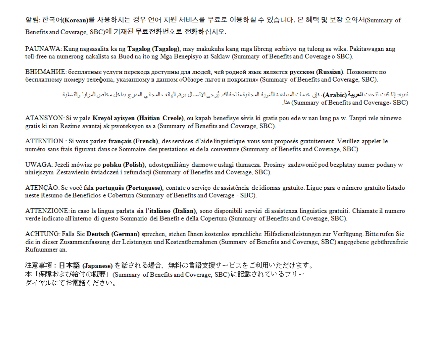알림: 한국어(Korean)를 사용하시는 경우 언어 지원 서비스를 무료로 이용하실 수 있습니다. 본 혜택 및 보장 요약서(Summary of Benefits and Coverage, SBC)에 기재된 무료전화번호로 전화하십시오.

PAUNAWA: Kung nagsasalita ka ng **Tagalog (Tagalog)**, may makukuha kang mga libreng serbisyo ng tulong sa wika. Pakitawagan ang toll-free na numerong nakalista sa Buod na ito ng Mga Benepisyo at Saklaw (Summary of Benefits and Coverage o SBC).

ВНИМАНИЕ: бесплатные услуги перевода доступны для людей, чей родной язык является русском (Russian). Позвоните по бесплатному номеру телефона, указанному в данном «Обзоре льгот и покрытия» (Summary of Benefits and Coverage, SBC).

> تنبيه: إذا كنت تتحدث ا**لعربية (Arabic)**، فإن خدمات المساعدة اللغوية المجانية متاحة لك. يُرجى الاتصال برهَم الهاتف المجاني المدرج بداخل مخلص المزايا والتغطية (Summary of Benefits and Coverage، SBC)

ATANSYON: Si w pale Kreyol ayisyen (Haitian Creole), ou kapab benefisye sèvis ki gratis pou ede w nan lang pa w. Tanpri rele nimewo gratis ki nan Rezime avantaj ak pwoteksyon sa a (Summary of Benefits and Coverage, SBC).

ATTENTION : Si vous parlez francais (French), des services d'aide linguistique vous sont proposés gratuitement. Veuillez appeler le numéro sans frais figurant dans ce Sommaire des prestations et de la couverture (Summary of Benefits and Coverage, SBC).

UWAGA: Jeżeli mówisz po polsku (Polish), udostępniliśmy darmowe usługi tłumacza. Prosimy zadzwonić pod bezpłatny numer podany w niniejszym Zestawieniu świadczeń i refundacji (Summary of Benefits and Coverage, SBC).

ATENCÃO: Se você fala português (Portuguese), contate o servico de assistência de idiomas gratuito. Ligue para o número gratuito listado neste Resumo de Benefícios e Cobertura (Summary of Benefits and Coverage - SBC).

ATTENZIONE: in caso la lingua parlata sia l'italiano (Italian), sono disponibili servizi di assistenza linguistica gratuiti. Chiamate il numero verde indicato all'interno di questo Sommario dei Benefit e della Copertura (Summary of Benefits and Coverage, SBC).

ACHTUNG: Falls Sie Deutsch (German) sprechen, stehen Ihnen kostenlos sprachliche Hilfsdienstleistungen zur Verfügung. Bitte rufen Sie die in dieser Zusammenfassung der Leistungen und Kostenübernahmen (Summary of Benefits and Coverage, SBC) angegebene gebührenfreie Rufnummer an.

注意事項:日本語 (Japanese)を話される場合、無料の言語支援サービスをご利用いただけます。 本「保障および給付の概要」(Summary of Benefits and Coverage, SBC)に記載されているフリー ダイヤルにてお電話ください。